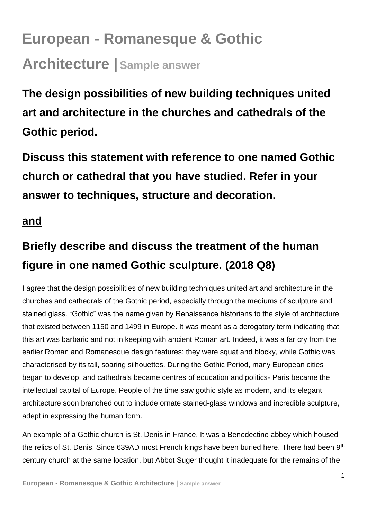## **European - Romanesque & Gothic Architecture | Sample answer**

**The design possibilities of new building techniques united art and architecture in the churches and cathedrals of the Gothic period.**

**Discuss this statement with reference to one named Gothic church or cathedral that you have studied. Refer in your answer to techniques, structure and decoration.**

## **and**

## **Briefly describe and discuss the treatment of the human figure in one named Gothic sculpture. (2018 Q8)**

I agree that the design possibilities of new building techniques united art and architecture in the churches and cathedrals of the Gothic period, especially through the mediums of sculpture and stained glass. "Gothic" was the name given by Renaissance historians to the style of architecture that existed between 1150 and 1499 in Europe. It was meant as a derogatory term indicating that this art was barbaric and not in keeping with ancient Roman art. Indeed, it was a far cry from the earlier Roman and Romanesque design features: they were squat and blocky, while Gothic was characterised by its tall, soaring silhouettes. During the Gothic Period, many European cities began to develop, and cathedrals became centres of education and politics- Paris became the intellectual capital of Europe. People of the time saw gothic style as modern, and its elegant architecture soon branched out to include ornate stained-glass windows and incredible sculpture, adept in expressing the human form.

An example of a Gothic church is St. Denis in France. It was a Benedectine abbey which housed the relics of St. Denis. Since 639AD most French kings have been buried here. There had been 9<sup>th</sup> century church at the same location, but Abbot Suger thought it inadequate for the remains of the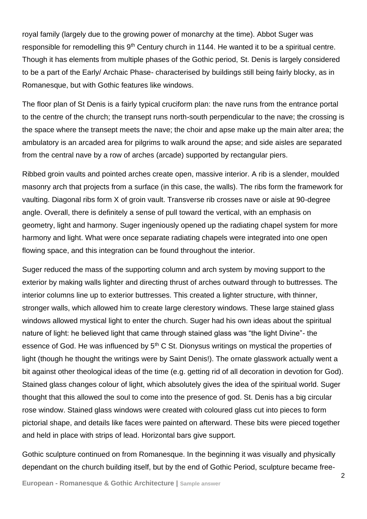royal family (largely due to the growing power of monarchy at the time). Abbot Suger was responsible for remodelling this 9<sup>th</sup> Century church in 1144. He wanted it to be a spiritual centre. Though it has elements from multiple phases of the Gothic period, St. Denis is largely considered to be a part of the Early/ Archaic Phase- characterised by buildings still being fairly blocky, as in Romanesque, but with Gothic features like windows.

The floor plan of St Denis is a fairly typical cruciform plan: the nave runs from the entrance portal to the centre of the church; the transept runs north-south perpendicular to the nave; the crossing is the space where the transept meets the nave; the choir and apse make up the main alter area; the ambulatory is an arcaded area for pilgrims to walk around the apse; and side aisles are separated from the central nave by a row of arches (arcade) supported by rectangular piers.

Ribbed groin vaults and pointed arches create open, massive interior. A rib is a slender, moulded masonry arch that projects from a surface (in this case, the walls). The ribs form the framework for vaulting. Diagonal ribs form X of groin vault. Transverse rib crosses nave or aisle at 90-degree angle. Overall, there is definitely a sense of pull toward the vertical, with an emphasis on geometry, light and harmony. Suger ingeniously opened up the radiating chapel system for more harmony and light. What were once separate radiating chapels were integrated into one open flowing space, and this integration can be found throughout the interior.

Suger reduced the mass of the supporting column and arch system by moving support to the exterior by making walls lighter and directing thrust of arches outward through to buttresses. The interior columns line up to exterior buttresses. This created a lighter structure, with thinner, stronger walls, which allowed him to create large clerestory windows. These large stained glass windows allowed mystical light to enter the church. Suger had his own ideas about the spiritual nature of light: he believed light that came through stained glass was "the light Divine"- the essence of God. He was influenced by 5<sup>th</sup> C St. Dionysus writings on mystical the properties of light (though he thought the writings were by Saint Denis!). The ornate glasswork actually went a bit against other theological ideas of the time (e.g. getting rid of all decoration in devotion for God). Stained glass changes colour of light, which absolutely gives the idea of the spiritual world. Suger thought that this allowed the soul to come into the presence of god. St. Denis has a big circular rose window. Stained glass windows were created with coloured glass cut into pieces to form pictorial shape, and details like faces were painted on afterward. These bits were pieced together and held in place with strips of lead. Horizontal bars give support.

Gothic sculpture continued on from Romanesque. In the beginning it was visually and physically dependant on the church building itself, but by the end of Gothic Period, sculpture became free